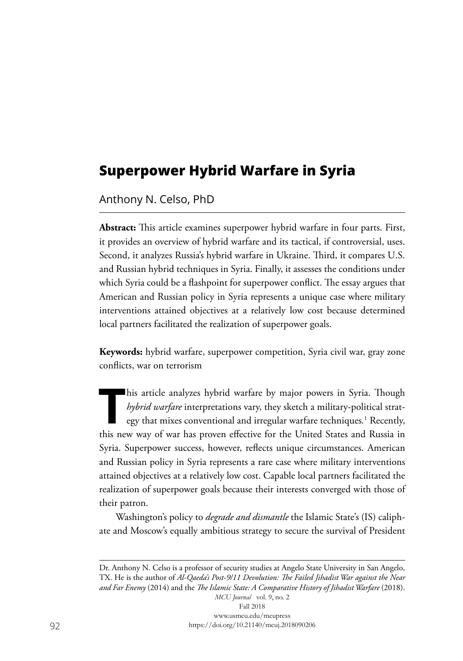# **Superpower Hybrid Warfare in Syria**

Anthony N. Celso, PhD

**Abstract:** This article examines superpower hybrid warfare in four parts. First, it provides an overview of hybrid warfare and its tactical, if controversial, uses. Second, it analyzes Russia's hybrid warfare in Ukraine. Third, it compares U.S. and Russian hybrid techniques in Syria. Finally, it assesses the conditions under which Syria could be a flashpoint for superpower conflict. The essay argues that American and Russian policy in Syria represents a unique case where military interventions attained objectives at a relatively low cost because determined local partners facilitated the realization of superpower goals.

**Keywords:** hybrid warfare, superpower competition, Syria civil war, gray zone conflicts, war on terrorism

This article analyzes hybrid warfare by major powers in Syria. Though<br>*hybrid warfare* interpretations vary, they sketch a military-political strat-<br>egy that mixes conventional and irregular warfare techniques.<sup>1</sup> Recently *hybrid warfare* interpretations vary, they sketch a military-political strategy that mixes conventional and irregular warfare techniques*.* 1 Recently, this new way of war has proven effective for the United States and Russia in Syria. Superpower success, however, reflects unique circumstances. American and Russian policy in Syria represents a rare case where military interventions attained objectives at a relatively low cost. Capable local partners facilitated the realization of superpower goals because their interests converged with those of their patron.

Washington's policy to *degrade and dismantle* the Islamic State's (IS) caliphate and Moscow's equally ambitious strategy to secure the survival of President

Dr. Anthony N. Celso is a professor of security studies at Angelo State University in San Angelo, TX. He is the author of *Al-Qaeda's Post-9/11 Devolution: The Failed Jihadist War against the Near and Far Enemy* (2014) and the *The Islamic State: A Comparative History of Jihadist Warfare* (2018).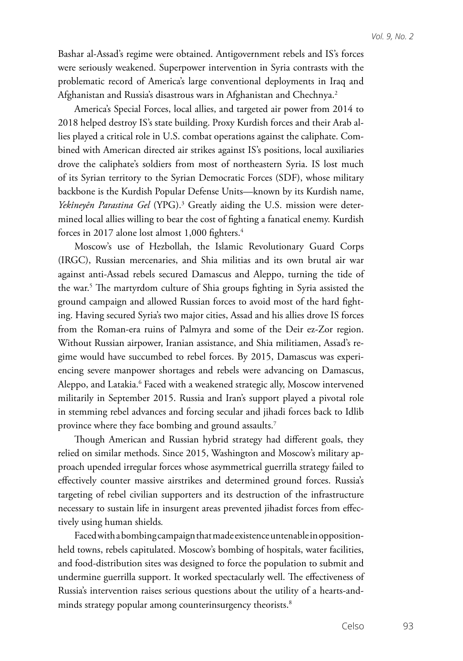Bashar al-Assad's regime were obtained. Antigovernment rebels and IS's forces were seriously weakened. Superpower intervention in Syria contrasts with the problematic record of America's large conventional deployments in Iraq and Afghanistan and Russia's disastrous wars in Afghanistan and Chechnya.<sup>2</sup>

America's Special Forces, local allies, and targeted air power from 2014 to 2018 helped destroy IS's state building. Proxy Kurdish forces and their Arab allies played a critical role in U.S. combat operations against the caliphate. Combined with American directed air strikes against IS's positions, local auxiliaries drove the caliphate's soldiers from most of northeastern Syria. IS lost much of its Syrian territory to the Syrian Democratic Forces (SDF), whose military backbone is the Kurdish Popular Defense Units—known by its Kurdish name, *Yekîneyên Parastina Gel* (YPG).3 Greatly aiding the U.S. mission were determined local allies willing to bear the cost of fighting a fanatical enemy. Kurdish forces in 2017 alone lost almost 1,000 fighters.<sup>4</sup>

Moscow's use of Hezbollah, the Islamic Revolutionary Guard Corps (IRGC), Russian mercenaries, and Shia militias and its own brutal air war against anti-Assad rebels secured Damascus and Aleppo, turning the tide of the war.5 The martyrdom culture of Shia groups fighting in Syria assisted the ground campaign and allowed Russian forces to avoid most of the hard fighting. Having secured Syria's two major cities, Assad and his allies drove IS forces from the Roman-era ruins of Palmyra and some of the Deir ez-Zor region. Without Russian airpower, Iranian assistance, and Shia militiamen, Assad's regime would have succumbed to rebel forces. By 2015, Damascus was experiencing severe manpower shortages and rebels were advancing on Damascus, Aleppo, and Latakia.<sup>6</sup> Faced with a weakened strategic ally, Moscow intervened militarily in September 2015. Russia and Iran's support played a pivotal role in stemming rebel advances and forcing secular and jihadi forces back to Idlib province where they face bombing and ground assaults.7

Though American and Russian hybrid strategy had different goals, they relied on similar methods. Since 2015, Washington and Moscow's military approach upended irregular forces whose asymmetrical guerrilla strategy failed to effectively counter massive airstrikes and determined ground forces. Russia's targeting of rebel civilian supporters and its destruction of the infrastructure necessary to sustain life in insurgent areas prevented jihadist forces from effectively using human shields*.*

Faced with a bombing campaign that made existence untenable in oppositionheld towns, rebels capitulated. Moscow's bombing of hospitals, water facilities, and food-distribution sites was designed to force the population to submit and undermine guerrilla support. It worked spectacularly well. The effectiveness of Russia's intervention raises serious questions about the utility of a hearts-andminds strategy popular among counterinsurgency theorists.<sup>8</sup>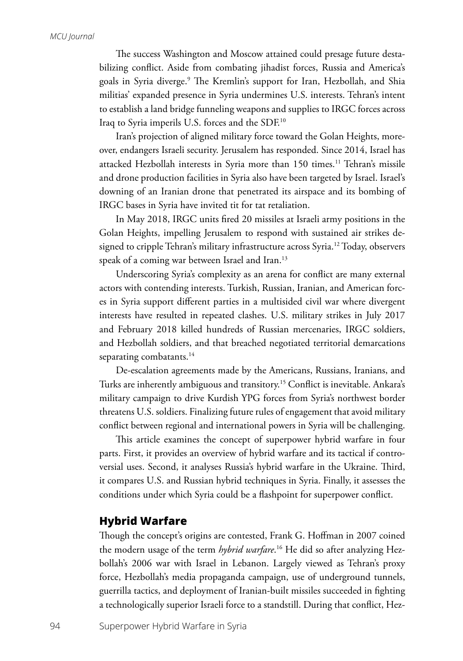The success Washington and Moscow attained could presage future destabilizing conflict. Aside from combating jihadist forces, Russia and America's goals in Syria diverge.9 The Kremlin's support for Iran, Hezbollah, and Shia militias' expanded presence in Syria undermines U.S. interests. Tehran's intent to establish a land bridge funneling weapons and supplies to IRGC forces across Iraq to Syria imperils U.S. forces and the SDF.10

Iran's projection of aligned military force toward the Golan Heights, moreover, endangers Israeli security. Jerusalem has responded. Since 2014, Israel has attacked Hezbollah interests in Syria more than 150 times.<sup>11</sup> Tehran's missile and drone production facilities in Syria also have been targeted by Israel. Israel's downing of an Iranian drone that penetrated its airspace and its bombing of IRGC bases in Syria have invited tit for tat retaliation.

In May 2018, IRGC units fired 20 missiles at Israeli army positions in the Golan Heights, impelling Jerusalem to respond with sustained air strikes designed to cripple Tehran's military infrastructure across Syria.<sup>12</sup> Today, observers speak of a coming war between Israel and Iran.<sup>13</sup>

Underscoring Syria's complexity as an arena for conflict are many external actors with contending interests. Turkish, Russian, Iranian, and American forces in Syria support different parties in a multisided civil war where divergent interests have resulted in repeated clashes. U.S. military strikes in July 2017 and February 2018 killed hundreds of Russian mercenaries, IRGC soldiers, and Hezbollah soldiers, and that breached negotiated territorial demarcations separating combatants.<sup>14</sup>

De-escalation agreements made by the Americans, Russians, Iranians, and Turks are inherently ambiguous and transitory.15 Conflict is inevitable. Ankara's military campaign to drive Kurdish YPG forces from Syria's northwest border threatens U.S. soldiers. Finalizing future rules of engagement that avoid military conflict between regional and international powers in Syria will be challenging.

This article examines the concept of superpower hybrid warfare in four parts. First, it provides an overview of hybrid warfare and its tactical if controversial uses. Second, it analyses Russia's hybrid warfare in the Ukraine. Third, it compares U.S. and Russian hybrid techniques in Syria. Finally, it assesses the conditions under which Syria could be a flashpoint for superpower conflict.

#### **Hybrid Warfare**

Though the concept's origins are contested, Frank G. Hoffman in 2007 coined the modern usage of the term *hybrid warfare*. 16 He did so after analyzing Hezbollah's 2006 war with Israel in Lebanon. Largely viewed as Tehran's proxy force, Hezbollah's media propaganda campaign, use of underground tunnels, guerrilla tactics, and deployment of Iranian-built missiles succeeded in fighting a technologically superior Israeli force to a standstill. During that conflict, Hez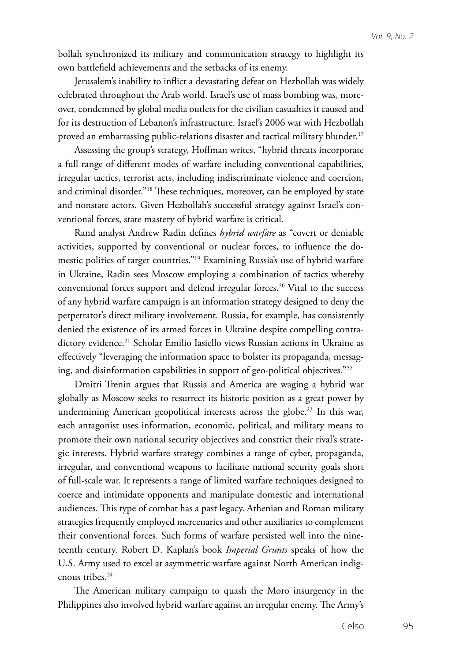bollah synchronized its military and communication strategy to highlight its own battlefield achievements and the setbacks of its enemy.

Jerusalem's inability to inflict a devastating defeat on Hezbollah was widely celebrated throughout the Arab world. Israel's use of mass bombing was, moreover, condemned by global media outlets for the civilian casualties it caused and for its destruction of Lebanon's infrastructure. Israel's 2006 war with Hezbollah proved an embarrassing public-relations disaster and tactical military blunder.<sup>17</sup>

Assessing the group's strategy, Hoffman writes, "hybrid threats incorporate a full range of different modes of warfare including conventional capabilities, irregular tactics, terrorist acts, including indiscriminate violence and coercion, and criminal disorder."18 These techniques, moreover, can be employed by state and nonstate actors. Given Hezbollah's successful strategy against Israel's conventional forces, state mastery of hybrid warfare is critical.

Rand analyst Andrew Radin defines *hybrid warfare* as "covert or deniable activities, supported by conventional or nuclear forces, to influence the domestic politics of target countries."19 Examining Russia's use of hybrid warfare in Ukraine, Radin sees Moscow employing a combination of tactics whereby conventional forces support and defend irregular forces.<sup>20</sup> Vital to the success of any hybrid warfare campaign is an information strategy designed to deny the perpetrator's direct military involvement. Russia, for example, has consistently denied the existence of its armed forces in Ukraine despite compelling contradictory evidence.<sup>21</sup> Scholar Emilio Iasiello views Russian actions in Ukraine as effectively "leveraging the information space to bolster its propaganda, messaging, and disinformation capabilities in support of geo-political objectives."22

Dmitri Trenin argues that Russia and America are waging a hybrid war globally as Moscow seeks to resurrect its historic position as a great power by undermining American geopolitical interests across the globe.<sup>23</sup> In this war, each antagonist uses information, economic, political, and military means to promote their own national security objectives and constrict their rival's strategic interests. Hybrid warfare strategy combines a range of cyber, propaganda, irregular, and conventional weapons to facilitate national security goals short of full-scale war. It represents a range of limited warfare techniques designed to coerce and intimidate opponents and manipulate domestic and international audiences. This type of combat has a past legacy. Athenian and Roman military strategies frequently employed mercenaries and other auxiliaries to complement their conventional forces. Such forms of warfare persisted well into the nineteenth century. Robert D. Kaplan's book *Imperial Grunts* speaks of how the U.S. Army used to excel at asymmetric warfare against North American indigenous tribes.<sup>24</sup>

The American military campaign to quash the Moro insurgency in the Philippines also involved hybrid warfare against an irregular enemy. The Army's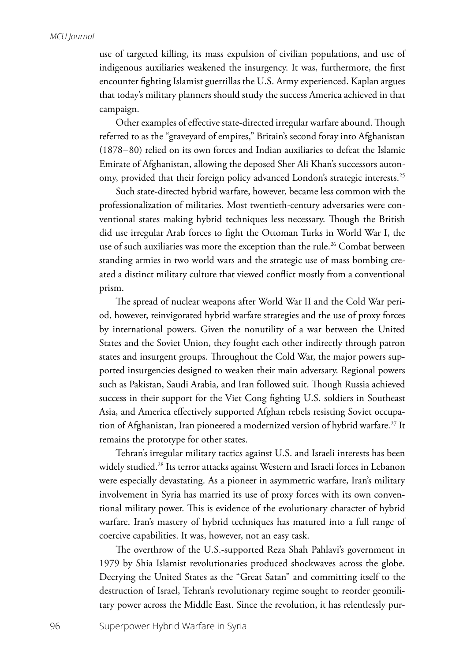use of targeted killing, its mass expulsion of civilian populations, and use of indigenous auxiliaries weakened the insurgency. It was, furthermore, the first encounter fighting Islamist guerrillas the U.S. Army experienced. Kaplan argues that today's military planners should study the success America achieved in that campaign.

Other examples of effective state-directed irregular warfare abound. Though referred to as the "graveyard of empires," Britain's second foray into Afghanistan (1878–80) relied on its own forces and Indian auxiliaries to defeat the Islamic Emirate of Afghanistan, allowing the deposed Sher Ali Khan's successors autonomy, provided that their foreign policy advanced London's strategic interests.<sup>25</sup>

Such state-directed hybrid warfare, however, became less common with the professionalization of militaries. Most twentieth-century adversaries were conventional states making hybrid techniques less necessary. Though the British did use irregular Arab forces to fight the Ottoman Turks in World War I, the use of such auxiliaries was more the exception than the rule.<sup>26</sup> Combat between standing armies in two world wars and the strategic use of mass bombing created a distinct military culture that viewed conflict mostly from a conventional prism.

The spread of nuclear weapons after World War II and the Cold War period, however, reinvigorated hybrid warfare strategies and the use of proxy forces by international powers. Given the nonutility of a war between the United States and the Soviet Union, they fought each other indirectly through patron states and insurgent groups. Throughout the Cold War, the major powers supported insurgencies designed to weaken their main adversary. Regional powers such as Pakistan, Saudi Arabia, and Iran followed suit. Though Russia achieved success in their support for the Viet Cong fighting U.S. soldiers in Southeast Asia, and America effectively supported Afghan rebels resisting Soviet occupation of Afghanistan, Iran pioneered a modernized version of hybrid warfare*.* 27 It remains the prototype for other states.

Tehran's irregular military tactics against U.S. and Israeli interests has been widely studied.<sup>28</sup> Its terror attacks against Western and Israeli forces in Lebanon were especially devastating. As a pioneer in asymmetric warfare, Iran's military involvement in Syria has married its use of proxy forces with its own conventional military power. This is evidence of the evolutionary character of hybrid warfare. Iran's mastery of hybrid techniques has matured into a full range of coercive capabilities. It was, however, not an easy task.

The overthrow of the U.S.-supported Reza Shah Pahlavi's government in 1979 by Shia Islamist revolutionaries produced shockwaves across the globe. Decrying the United States as the "Great Satan" and committing itself to the destruction of Israel, Tehran's revolutionary regime sought to reorder geomilitary power across the Middle East. Since the revolution, it has relentlessly pur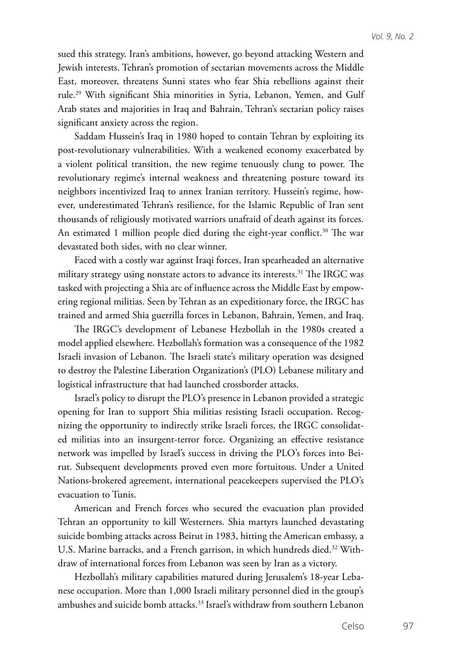sued this strategy. Iran's ambitions, however, go beyond attacking Western and Jewish interests. Tehran's promotion of sectarian movements across the Middle East, moreover, threatens Sunni states who fear Shia rebellions against their rule.29 With significant Shia minorities in Syria, Lebanon, Yemen, and Gulf Arab states and majorities in Iraq and Bahrain, Tehran's sectarian policy raises significant anxiety across the region.

Saddam Hussein's Iraq in 1980 hoped to contain Tehran by exploiting its post-revolutionary vulnerabilities. With a weakened economy exacerbated by a violent political transition, the new regime tenuously clung to power. The revolutionary regime's internal weakness and threatening posture toward its neighbors incentivized Iraq to annex Iranian territory. Hussein's regime, however, underestimated Tehran's resilience, for the Islamic Republic of Iran sent thousands of religiously motivated warriors unafraid of death against its forces. An estimated 1 million people died during the eight-year conflict.<sup>30</sup> The war devastated both sides, with no clear winner.

Faced with a costly war against Iraqi forces, Iran spearheaded an alternative military strategy using nonstate actors to advance its interests.<sup>31</sup> The IRGC was tasked with projecting a Shia arc of influence across the Middle East by empowering regional militias. Seen by Tehran as an expeditionary force, the IRGC has trained and armed Shia guerrilla forces in Lebanon, Bahrain, Yemen, and Iraq.

The IRGC's development of Lebanese Hezbollah in the 1980s created a model applied elsewhere. Hezbollah's formation was a consequence of the 1982 Israeli invasion of Lebanon. The Israeli state's military operation was designed to destroy the Palestine Liberation Organization's (PLO) Lebanese military and logistical infrastructure that had launched crossborder attacks.

Israel's policy to disrupt the PLO's presence in Lebanon provided a strategic opening for Iran to support Shia militias resisting Israeli occupation. Recognizing the opportunity to indirectly strike Israeli forces, the IRGC consolidated militias into an insurgent-terror force. Organizing an effective resistance network was impelled by Israel's success in driving the PLO's forces into Beirut. Subsequent developments proved even more fortuitous. Under a United Nations-brokered agreement, international peacekeepers supervised the PLO's evacuation to Tunis.

American and French forces who secured the evacuation plan provided Tehran an opportunity to kill Westerners. Shia martyrs launched devastating suicide bombing attacks across Beirut in 1983, hitting the American embassy, a U.S. Marine barracks, and a French garrison, in which hundreds died.<sup>32</sup> Withdraw of international forces from Lebanon was seen by Iran as a victory.

Hezbollah's military capabilities matured during Jerusalem's 18-year Lebanese occupation. More than 1,000 Israeli military personnel died in the group's ambushes and suicide bomb attacks.<sup>33</sup> Israel's withdraw from southern Lebanon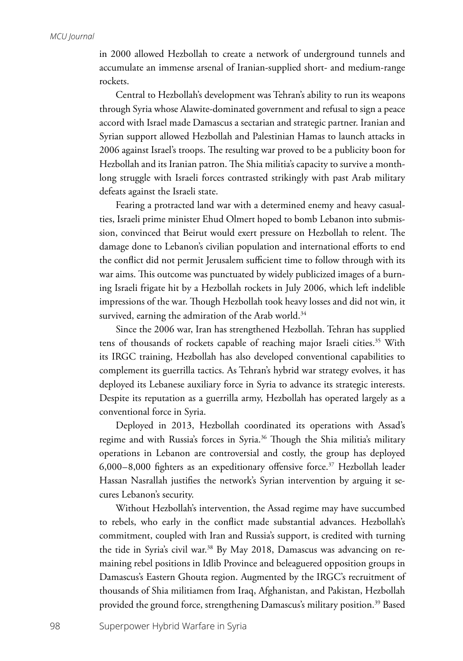in 2000 allowed Hezbollah to create a network of underground tunnels and accumulate an immense arsenal of Iranian-supplied short- and medium-range rockets.

Central to Hezbollah's development was Tehran's ability to run its weapons through Syria whose Alawite-dominated government and refusal to sign a peace accord with Israel made Damascus a sectarian and strategic partner. Iranian and Syrian support allowed Hezbollah and Palestinian Hamas to launch attacks in 2006 against Israel's troops. The resulting war proved to be a publicity boon for Hezbollah and its Iranian patron. The Shia militia's capacity to survive a monthlong struggle with Israeli forces contrasted strikingly with past Arab military defeats against the Israeli state.

Fearing a protracted land war with a determined enemy and heavy casualties, Israeli prime minister Ehud Olmert hoped to bomb Lebanon into submission, convinced that Beirut would exert pressure on Hezbollah to relent. The damage done to Lebanon's civilian population and international efforts to end the conflict did not permit Jerusalem sufficient time to follow through with its war aims. This outcome was punctuated by widely publicized images of a burning Israeli frigate hit by a Hezbollah rockets in July 2006, which left indelible impressions of the war. Though Hezbollah took heavy losses and did not win*,* it survived, earning the admiration of the Arab world.<sup>34</sup>

Since the 2006 war, Iran has strengthened Hezbollah. Tehran has supplied tens of thousands of rockets capable of reaching major Israeli cities.<sup>35</sup> With its IRGC training, Hezbollah has also developed conventional capabilities to complement its guerrilla tactics. As Tehran's hybrid war strategy evolves, it has deployed its Lebanese auxiliary force in Syria to advance its strategic interests. Despite its reputation as a guerrilla army, Hezbollah has operated largely as a conventional force in Syria.

Deployed in 2013, Hezbollah coordinated its operations with Assad's regime and with Russia's forces in Syria.<sup>36</sup> Though the Shia militia's military operations in Lebanon are controversial and costly, the group has deployed 6,000–8,000 fighters as an expeditionary offensive force.<sup>37</sup> Hezbollah leader Hassan Nasrallah justifies the network's Syrian intervention by arguing it secures Lebanon's security.

Without Hezbollah's intervention, the Assad regime may have succumbed to rebels, who early in the conflict made substantial advances. Hezbollah's commitment, coupled with Iran and Russia's support, is credited with turning the tide in Syria's civil war.38 By May 2018, Damascus was advancing on remaining rebel positions in Idlib Province and beleaguered opposition groups in Damascus's Eastern Ghouta region. Augmented by the IRGC's recruitment of thousands of Shia militiamen from Iraq, Afghanistan, and Pakistan, Hezbollah provided the ground force, strengthening Damascus's military position.<sup>39</sup> Based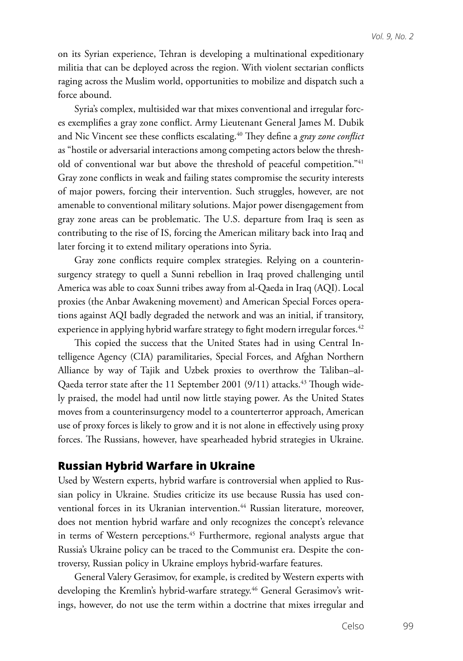on its Syrian experience, Tehran is developing a multinational expeditionary militia that can be deployed across the region. With violent sectarian conflicts raging across the Muslim world, opportunities to mobilize and dispatch such a force abound.

Syria's complex, multisided war that mixes conventional and irregular forces exemplifies a gray zone conflict. Army Lieutenant General James M. Dubik and Nic Vincent see these conflicts escalating.<sup>40</sup> They define a *gray zone conflict* as "hostile or adversarial interactions among competing actors below the threshold of conventional war but above the threshold of peaceful competition."<sup>41</sup> Gray zone conflicts in weak and failing states compromise the security interests of major powers, forcing their intervention. Such struggles, however, are not amenable to conventional military solutions. Major power disengagement from gray zone areas can be problematic. The U.S. departure from Iraq is seen as contributing to the rise of IS, forcing the American military back into Iraq and later forcing it to extend military operations into Syria.

Gray zone conflicts require complex strategies. Relying on a counterinsurgency strategy to quell a Sunni rebellion in Iraq proved challenging until America was able to coax Sunni tribes away from al-Qaeda in Iraq (AQI). Local proxies (the Anbar Awakening movement) and American Special Forces operations against AQI badly degraded the network and was an initial, if transitory, experience in applying hybrid warfare strategy to fight modern irregular forces.<sup>42</sup>

This copied the success that the United States had in using Central Intelligence Agency (CIA) paramilitaries, Special Forces, and Afghan Northern Alliance by way of Tajik and Uzbek proxies to overthrow the Taliban–al-Qaeda terror state after the 11 September 2001 (9/11) attacks.<sup>43</sup> Though widely praised, the model had until now little staying power. As the United States moves from a counterinsurgency model to a counterterror approach, American use of proxy forces is likely to grow and it is not alone in effectively using proxy forces. The Russians, however, have spearheaded hybrid strategies in Ukraine.

#### **Russian Hybrid Warfare in Ukraine**

Used by Western experts, hybrid warfare is controversial when applied to Russian policy in Ukraine. Studies criticize its use because Russia has used conventional forces in its Ukranian intervention.<sup>44</sup> Russian literature, moreover, does not mention hybrid warfare and only recognizes the concept's relevance in terms of Western perceptions.<sup>45</sup> Furthermore, regional analysts argue that Russia's Ukraine policy can be traced to the Communist era. Despite the controversy, Russian policy in Ukraine employs hybrid-warfare features.

General Valery Gerasimov, for example, is credited by Western experts with developing the Kremlin's hybrid-warfare strategy.<sup>46</sup> General Gerasimov's writings, however, do not use the term within a doctrine that mixes irregular and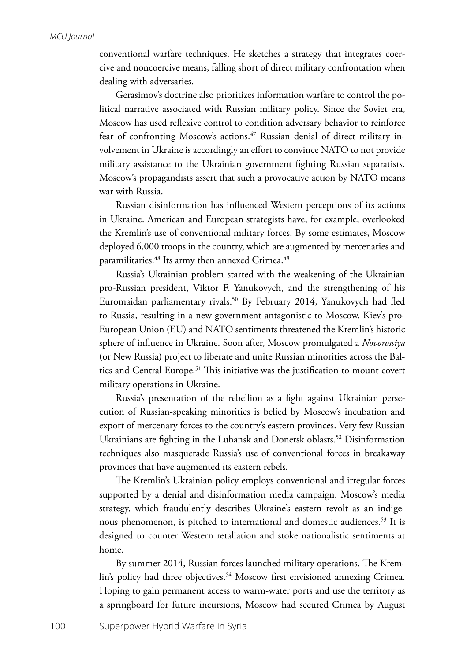conventional warfare techniques. He sketches a strategy that integrates coercive and noncoercive means, falling short of direct military confrontation when dealing with adversaries.

Gerasimov's doctrine also prioritizes information warfare to control the political narrative associated with Russian military policy. Since the Soviet era, Moscow has used reflexive control to condition adversary behavior to reinforce fear of confronting Moscow's actions.<sup>47</sup> Russian denial of direct military involvement in Ukraine is accordingly an effort to convince NATO to not provide military assistance to the Ukrainian government fighting Russian separatists*.* Moscow's propagandists assert that such a provocative action by NATO means war with Russia.

Russian disinformation has influenced Western perceptions of its actions in Ukraine. American and European strategists have, for example, overlooked the Kremlin's use of conventional military forces. By some estimates, Moscow deployed 6,000 troops in the country, which are augmented by mercenaries and paramilitaries.<sup>48</sup> Its army then annexed Crimea.<sup>49</sup>

Russia's Ukrainian problem started with the weakening of the Ukrainian pro-Russian president, Viktor F. Yanukovych, and the strengthening of his Euromaidan parliamentary rivals.<sup>50</sup> By February 2014, Yanukovych had fled to Russia, resulting in a new government antagonistic to Moscow. Kiev's pro-European Union (EU) and NATO sentiments threatened the Kremlin's historic sphere of influence in Ukraine. Soon after, Moscow promulgated a *Novorossiya*  (or New Russia) project to liberate and unite Russian minorities across the Baltics and Central Europe.<sup>51</sup> This initiative was the justification to mount covert military operations in Ukraine.

Russia's presentation of the rebellion as a fight against Ukrainian persecution of Russian-speaking minorities is belied by Moscow's incubation and export of mercenary forces to the country's eastern provinces. Very few Russian Ukrainians are fighting in the Luhansk and Donetsk oblasts.<sup>52</sup> Disinformation techniques also masquerade Russia's use of conventional forces in breakaway provinces that have augmented its eastern rebels*.*

The Kremlin's Ukrainian policy employs conventional and irregular forces supported by a denial and disinformation media campaign. Moscow's media strategy, which fraudulently describes Ukraine's eastern revolt as an indigenous phenomenon, is pitched to international and domestic audiences.<sup>53</sup> It is designed to counter Western retaliation and stoke nationalistic sentiments at home.

By summer 2014, Russian forces launched military operations. The Kremlin's policy had three objectives.<sup>54</sup> Moscow first envisioned annexing Crimea. Hoping to gain permanent access to warm-water ports and use the territory as a springboard for future incursions, Moscow had secured Crimea by August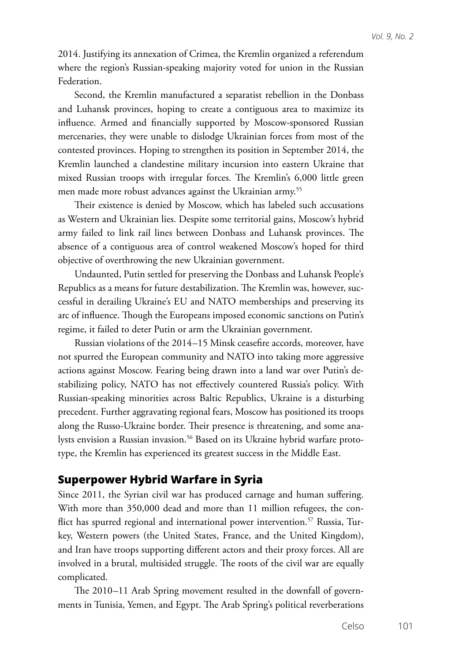2014. Justifying its annexation of Crimea, the Kremlin organized a referendum where the region's Russian-speaking majority voted for union in the Russian Federation.

Second, the Kremlin manufactured a separatist rebellion in the Donbass and Luhansk provinces, hoping to create a contiguous area to maximize its influence. Armed and financially supported by Moscow-sponsored Russian mercenaries, they were unable to dislodge Ukrainian forces from most of the contested provinces. Hoping to strengthen its position in September 2014, the Kremlin launched a clandestine military incursion into eastern Ukraine that mixed Russian troops with irregular forces. The Kremlin's 6,000 little green men made more robust advances against the Ukrainian army.<sup>55</sup>

Their existence is denied by Moscow, which has labeled such accusations as Western and Ukrainian lies. Despite some territorial gains, Moscow's hybrid army failed to link rail lines between Donbass and Luhansk provinces. The absence of a contiguous area of control weakened Moscow's hoped for third objective of overthrowing the new Ukrainian government.

Undaunted, Putin settled for preserving the Donbass and Luhansk People's Republics as a means for future destabilization. The Kremlin was, however, successful in derailing Ukraine's EU and NATO memberships and preserving its arc of influence. Though the Europeans imposed economic sanctions on Putin's regime, it failed to deter Putin or arm the Ukrainian government.

Russian violations of the 2014–15 Minsk ceasefire accords, moreover, have not spurred the European community and NATO into taking more aggressive actions against Moscow. Fearing being drawn into a land war over Putin's destabilizing policy, NATO has not effectively countered Russia's policy. With Russian-speaking minorities across Baltic Republics, Ukraine is a disturbing precedent. Further aggravating regional fears, Moscow has positioned its troops along the Russo-Ukraine border. Their presence is threatening, and some analysts envision a Russian invasion.<sup>56</sup> Based on its Ukraine hybrid warfare prototype, the Kremlin has experienced its greatest success in the Middle East.

#### **Superpower Hybrid Warfare in Syria**

Since 2011, the Syrian civil war has produced carnage and human suffering. With more than 350,000 dead and more than 11 million refugees, the conflict has spurred regional and international power intervention.<sup>57</sup> Russia, Turkey, Western powers (the United States, France, and the United Kingdom), and Iran have troops supporting different actors and their proxy forces. All are involved in a brutal, multisided struggle. The roots of the civil war are equally complicated.

The 2010–11 Arab Spring movement resulted in the downfall of governments in Tunisia, Yemen, and Egypt. The Arab Spring's political reverberations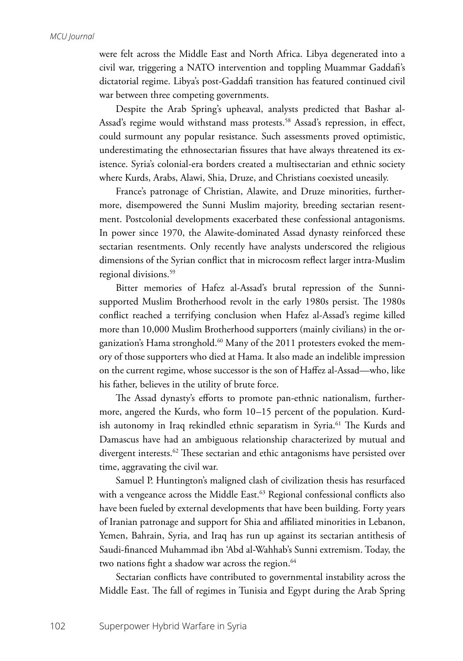were felt across the Middle East and North Africa. Libya degenerated into a civil war, triggering a NATO intervention and toppling Muammar Gaddafi's dictatorial regime. Libya's post-Gaddafi transition has featured continued civil war between three competing governments.

Despite the Arab Spring's upheaval, analysts predicted that Bashar al-Assad's regime would withstand mass protests.<sup>58</sup> Assad's repression, in effect, could surmount any popular resistance. Such assessments proved optimistic, underestimating the ethnosectarian fissures that have always threatened its existence. Syria's colonial-era borders created a multisectarian and ethnic society where Kurds, Arabs, Alawi, Shia, Druze, and Christians coexisted uneasily.

France's patronage of Christian, Alawite, and Druze minorities, furthermore, disempowered the Sunni Muslim majority, breeding sectarian resentment. Postcolonial developments exacerbated these confessional antagonisms. In power since 1970, the Alawite-dominated Assad dynasty reinforced these sectarian resentments. Only recently have analysts underscored the religious dimensions of the Syrian conflict that in microcosm reflect larger intra-Muslim regional divisions.<sup>59</sup>

Bitter memories of Hafez al-Assad's brutal repression of the Sunnisupported Muslim Brotherhood revolt in the early 1980s persist. The 1980s conflict reached a terrifying conclusion when Hafez al-Assad's regime killed more than 10,000 Muslim Brotherhood supporters (mainly civilians) in the organization's Hama stronghold.<sup>60</sup> Many of the 2011 protesters evoked the memory of those supporters who died at Hama. It also made an indelible impression on the current regime, whose successor is the son of Haffez al-Assad—who, like his father, believes in the utility of brute force.

The Assad dynasty's efforts to promote pan-ethnic nationalism, furthermore, angered the Kurds, who form 10–15 percent of the population. Kurdish autonomy in Iraq rekindled ethnic separatism in Syria.<sup>61</sup> The Kurds and Damascus have had an ambiguous relationship characterized by mutual and divergent interests.<sup>62</sup> These sectarian and ethic antagonisms have persisted over time, aggravating the civil war.

Samuel P. Huntington's maligned clash of civilization thesis has resurfaced with a vengeance across the Middle East.<sup>63</sup> Regional confessional conflicts also have been fueled by external developments that have been building. Forty years of Iranian patronage and support for Shia and affiliated minorities in Lebanon, Yemen, Bahrain, Syria, and Iraq has run up against its sectarian antithesis of Saudi-financed Muhammad ibn 'Abd al-Wahhab's Sunni extremism. Today, the two nations fight a shadow war across the region.<sup>64</sup>

Sectarian conflicts have contributed to governmental instability across the Middle East. The fall of regimes in Tunisia and Egypt during the Arab Spring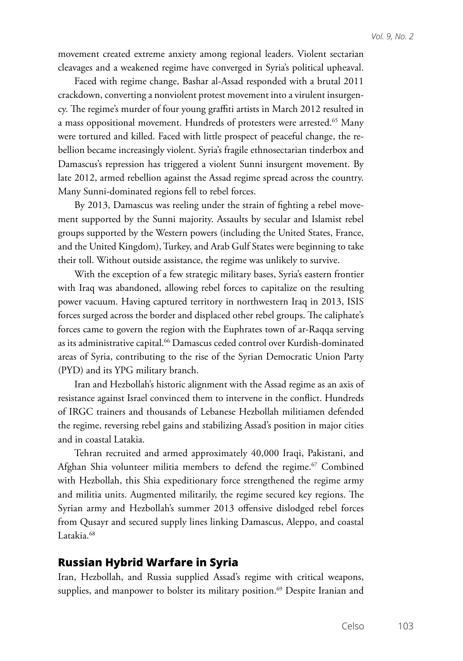movement created extreme anxiety among regional leaders. Violent sectarian cleavages and a weakened regime have converged in Syria's political upheaval.

Faced with regime change, Bashar al-Assad responded with a brutal 2011 crackdown, converting a nonviolent protest movement into a virulent insurgency. The regime's murder of four young graffiti artists in March 2012 resulted in a mass oppositional movement. Hundreds of protesters were arrested.<sup>65</sup> Many were tortured and killed. Faced with little prospect of peaceful change, the rebellion became increasingly violent. Syria's fragile ethnosectarian tinderbox and Damascus's repression has triggered a violent Sunni insurgent movement. By late 2012, armed rebellion against the Assad regime spread across the country. Many Sunni-dominated regions fell to rebel forces.

By 2013, Damascus was reeling under the strain of fighting a rebel movement supported by the Sunni majority. Assaults by secular and Islamist rebel groups supported by the Western powers (including the United States, France, and the United Kingdom), Turkey, and Arab Gulf States were beginning to take their toll. Without outside assistance, the regime was unlikely to survive.

With the exception of a few strategic military bases, Syria's eastern frontier with Iraq was abandoned, allowing rebel forces to capitalize on the resulting power vacuum. Having captured territory in northwestern Iraq in 2013, ISIS forces surged across the border and displaced other rebel groups. The caliphate's forces came to govern the region with the Euphrates town of ar-Raqqa serving as its administrative capital.<sup>66</sup> Damascus ceded control over Kurdish-dominated areas of Syria, contributing to the rise of the Syrian Democratic Union Party (PYD) and its YPG military branch.

Iran and Hezbollah's historic alignment with the Assad regime as an axis of resistance against Israel convinced them to intervene in the conflict. Hundreds of IRGC trainers and thousands of Lebanese Hezbollah militiamen defended the regime, reversing rebel gains and stabilizing Assad's position in major cities and in coastal Latakia.

Tehran recruited and armed approximately 40,000 Iraqi, Pakistani, and Afghan Shia volunteer militia members to defend the regime.<sup>67</sup> Combined with Hezbollah, this Shia expeditionary force strengthened the regime army and militia units. Augmented militarily, the regime secured key regions. The Syrian army and Hezbollah's summer 2013 offensive dislodged rebel forces from Qusayr and secured supply lines linking Damascus, Aleppo, and coastal Latakia.<sup>68</sup>

#### **Russian Hybrid Warfare in Syria**

Iran, Hezbollah, and Russia supplied Assad's regime with critical weapons, supplies, and manpower to bolster its military position.<sup>69</sup> Despite Iranian and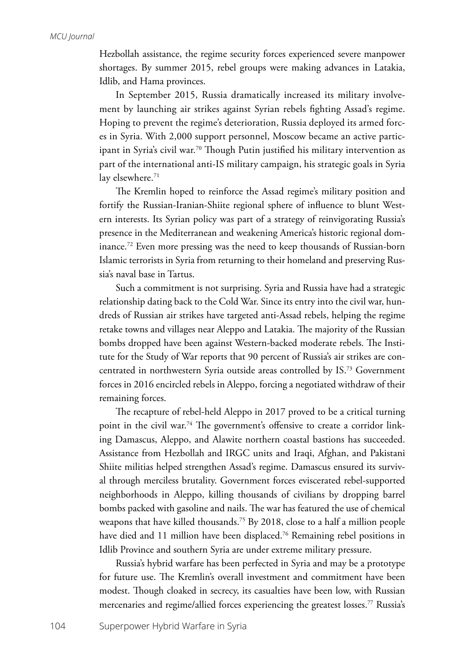Hezbollah assistance, the regime security forces experienced severe manpower shortages. By summer 2015, rebel groups were making advances in Latakia, Idlib, and Hama provinces.

In September 2015, Russia dramatically increased its military involvement by launching air strikes against Syrian rebels fighting Assad's regime. Hoping to prevent the regime's deterioration, Russia deployed its armed forces in Syria. With 2,000 support personnel, Moscow became an active participant in Syria's civil war.<sup>70</sup> Though Putin justified his military intervention as part of the international anti-IS military campaign, his strategic goals in Syria lay elsewhere.<sup>71</sup>

The Kremlin hoped to reinforce the Assad regime's military position and fortify the Russian-Iranian-Shiite regional sphere of influence to blunt Western interests. Its Syrian policy was part of a strategy of reinvigorating Russia's presence in the Mediterranean and weakening America's historic regional dominance.72 Even more pressing was the need to keep thousands of Russian-born Islamic terrorists in Syria from returning to their homeland and preserving Russia's naval base in Tartus.

Such a commitment is not surprising. Syria and Russia have had a strategic relationship dating back to the Cold War. Since its entry into the civil war, hundreds of Russian air strikes have targeted anti-Assad rebels, helping the regime retake towns and villages near Aleppo and Latakia. The majority of the Russian bombs dropped have been against Western-backed moderate rebels. The Institute for the Study of War reports that 90 percent of Russia's air strikes are concentrated in northwestern Syria outside areas controlled by IS.73 Government forces in 2016 encircled rebels in Aleppo, forcing a negotiated withdraw of their remaining forces.

The recapture of rebel-held Aleppo in 2017 proved to be a critical turning point in the civil war.<sup>74</sup> The government's offensive to create a corridor linking Damascus, Aleppo, and Alawite northern coastal bastions has succeeded. Assistance from Hezbollah and IRGC units and Iraqi, Afghan, and Pakistani Shiite militias helped strengthen Assad's regime. Damascus ensured its survival through merciless brutality. Government forces eviscerated rebel-supported neighborhoods in Aleppo, killing thousands of civilians by dropping barrel bombs packed with gasoline and nails. The war has featured the use of chemical weapons that have killed thousands.<sup>75</sup> By 2018, close to a half a million people have died and 11 million have been displaced.<sup>76</sup> Remaining rebel positions in Idlib Province and southern Syria are under extreme military pressure.

Russia's hybrid warfare has been perfected in Syria and may be a prototype for future use. The Kremlin's overall investment and commitment have been modest. Though cloaked in secrecy, its casualties have been low, with Russian mercenaries and regime/allied forces experiencing the greatest losses.<sup>77</sup> Russia's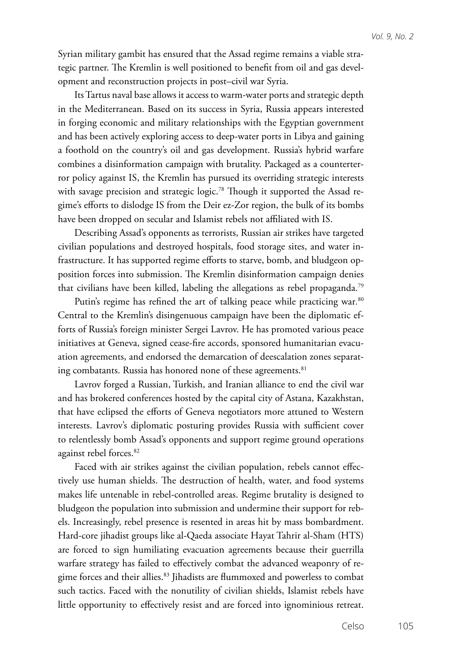Syrian military gambit has ensured that the Assad regime remains a viable strategic partner. The Kremlin is well positioned to benefit from oil and gas development and reconstruction projects in post–civil war Syria.

Its Tartus naval base allows it access to warm-water ports and strategic depth in the Mediterranean. Based on its success in Syria, Russia appears interested in forging economic and military relationships with the Egyptian government and has been actively exploring access to deep-water ports in Libya and gaining a foothold on the country's oil and gas development. Russia's hybrid warfare combines a disinformation campaign with brutality. Packaged as a counterterror policy against IS, the Kremlin has pursued its overriding strategic interests with savage precision and strategic logic.<sup>78</sup> Though it supported the Assad regime's efforts to dislodge IS from the Deir ez-Zor region, the bulk of its bombs have been dropped on secular and Islamist rebels not affiliated with IS.

Describing Assad's opponents as terrorists, Russian air strikes have targeted civilian populations and destroyed hospitals, food storage sites, and water infrastructure. It has supported regime efforts to starve, bomb, and bludgeon opposition forces into submission. The Kremlin disinformation campaign denies that civilians have been killed, labeling the allegations as rebel propaganda.<sup>79</sup>

Putin's regime has refined the art of talking peace while practicing war*.* 80 Central to the Kremlin's disingenuous campaign have been the diplomatic efforts of Russia's foreign minister Sergei Lavrov. He has promoted various peace initiatives at Geneva, signed cease-fire accords, sponsored humanitarian evacuation agreements, and endorsed the demarcation of deescalation zones separating combatants. Russia has honored none of these agreements.<sup>81</sup>

Lavrov forged a Russian, Turkish, and Iranian alliance to end the civil war and has brokered conferences hosted by the capital city of Astana, Kazakhstan, that have eclipsed the efforts of Geneva negotiators more attuned to Western interests. Lavrov's diplomatic posturing provides Russia with sufficient cover to relentlessly bomb Assad's opponents and support regime ground operations against rebel forces.<sup>82</sup>

Faced with air strikes against the civilian population, rebels cannot effectively use human shields. The destruction of health, water, and food systems makes life untenable in rebel-controlled areas. Regime brutality is designed to bludgeon the population into submission and undermine their support for rebels. Increasingly, rebel presence is resented in areas hit by mass bombardment. Hard-core jihadist groups like al-Qaeda associate Hayat Tahrir al-Sham (HTS) are forced to sign humiliating evacuation agreements because their guerrilla warfare strategy has failed to effectively combat the advanced weaponry of regime forces and their allies.<sup>83</sup> Jihadists are flummoxed and powerless to combat such tactics. Faced with the nonutility of civilian shields, Islamist rebels have little opportunity to effectively resist and are forced into ignominious retreat.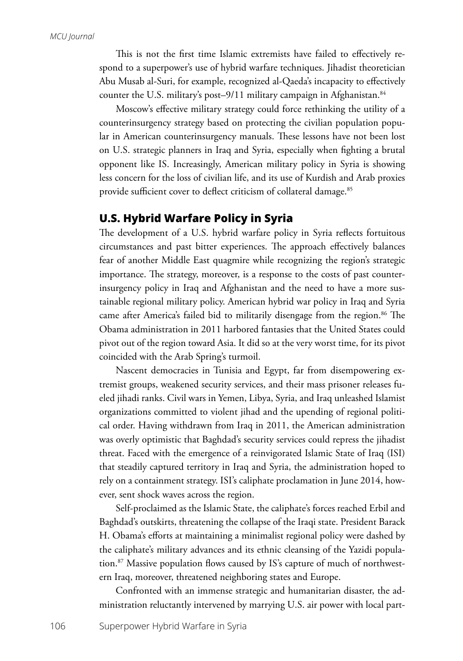This is not the first time Islamic extremists have failed to effectively respond to a superpower's use of hybrid warfare techniques. Jihadist theoretician Abu Musab al-Suri, for example, recognized al-Qaeda's incapacity to effectively counter the U.S. military's post-9/11 military campaign in Afghanistan.<sup>84</sup>

Moscow's effective military strategy could force rethinking the utility of a counterinsurgency strategy based on protecting the civilian population popular in American counterinsurgency manuals. These lessons have not been lost on U.S. strategic planners in Iraq and Syria, especially when fighting a brutal opponent like IS. Increasingly, American military policy in Syria is showing less concern for the loss of civilian life, and its use of Kurdish and Arab proxies provide sufficient cover to deflect criticism of collateral damage.<sup>85</sup>

# **U.S. Hybrid Warfare Policy in Syria**

The development of a U.S. hybrid warfare policy in Syria reflects fortuitous circumstances and past bitter experiences. The approach effectively balances fear of another Middle East quagmire while recognizing the region's strategic importance. The strategy, moreover, is a response to the costs of past counterinsurgency policy in Iraq and Afghanistan and the need to have a more sustainable regional military policy. American hybrid war policy in Iraq and Syria came after America's failed bid to militarily disengage from the region.<sup>86</sup> The Obama administration in 2011 harbored fantasies that the United States could pivot out of the region toward Asia. It did so at the very worst time, for its pivot coincided with the Arab Spring's turmoil.

Nascent democracies in Tunisia and Egypt, far from disempowering extremist groups, weakened security services, and their mass prisoner releases fueled jihadi ranks. Civil wars in Yemen, Libya, Syria, and Iraq unleashed Islamist organizations committed to violent jihad and the upending of regional political order. Having withdrawn from Iraq in 2011, the American administration was overly optimistic that Baghdad's security services could repress the jihadist threat. Faced with the emergence of a reinvigorated Islamic State of Iraq (ISI) that steadily captured territory in Iraq and Syria, the administration hoped to rely on a containment strategy. ISI's caliphate proclamation in June 2014, however, sent shock waves across the region.

Self-proclaimed as the Islamic State, the caliphate's forces reached Erbil and Baghdad's outskirts, threatening the collapse of the Iraqi state. President Barack H. Obama's efforts at maintaining a minimalist regional policy were dashed by the caliphate's military advances and its ethnic cleansing of the Yazidi population.87 Massive population flows caused by IS's capture of much of northwestern Iraq, moreover, threatened neighboring states and Europe.

Confronted with an immense strategic and humanitarian disaster, the administration reluctantly intervened by marrying U.S. air power with local part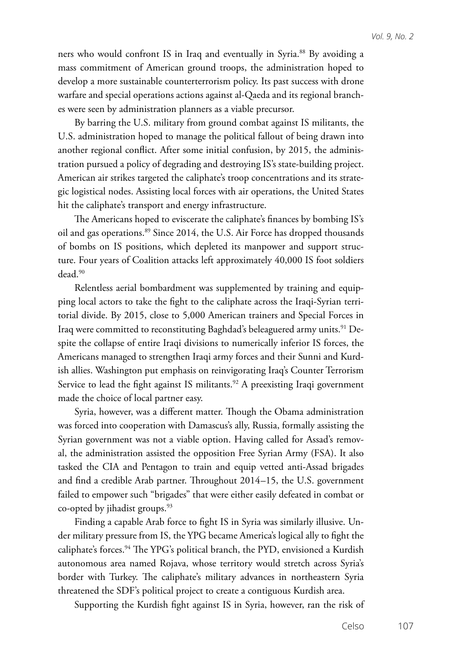ners who would confront IS in Iraq and eventually in Syria.<sup>88</sup> By avoiding a mass commitment of American ground troops, the administration hoped to develop a more sustainable counterterrorism policy. Its past success with drone warfare and special operations actions against al-Qaeda and its regional branches were seen by administration planners as a viable precursor.

By barring the U.S. military from ground combat against IS militants, the U.S. administration hoped to manage the political fallout of being drawn into another regional conflict. After some initial confusion, by 2015, the administration pursued a policy of degrading and destroying IS's state-building project. American air strikes targeted the caliphate's troop concentrations and its strategic logistical nodes. Assisting local forces with air operations, the United States hit the caliphate's transport and energy infrastructure.

The Americans hoped to eviscerate the caliphate's finances by bombing IS's oil and gas operations.89 Since 2014, the U.S. Air Force has dropped thousands of bombs on IS positions, which depleted its manpower and support structure. Four years of Coalition attacks left approximately 40,000 IS foot soldiers dead.90

Relentless aerial bombardment was supplemented by training and equipping local actors to take the fight to the caliphate across the Iraqi-Syrian territorial divide. By 2015, close to 5,000 American trainers and Special Forces in Iraq were committed to reconstituting Baghdad's beleaguered army units.<sup>91</sup> Despite the collapse of entire Iraqi divisions to numerically inferior IS forces, the Americans managed to strengthen Iraqi army forces and their Sunni and Kurdish allies. Washington put emphasis on reinvigorating Iraq's Counter Terrorism Service to lead the fight against IS militants.<sup>92</sup> A preexisting Iraqi government made the choice of local partner easy.

Syria, however, was a different matter. Though the Obama administration was forced into cooperation with Damascus's ally, Russia, formally assisting the Syrian government was not a viable option. Having called for Assad's removal, the administration assisted the opposition Free Syrian Army (FSA). It also tasked the CIA and Pentagon to train and equip vetted anti-Assad brigades and find a credible Arab partner. Throughout 2014–15, the U.S. government failed to empower such "brigades" that were either easily defeated in combat or co-opted by jihadist groups.93

Finding a capable Arab force to fight IS in Syria was similarly illusive. Under military pressure from IS, the YPG became America's logical ally to fight the caliphate's forces.94 The YPG's political branch, the PYD, envisioned a Kurdish autonomous area named Rojava, whose territory would stretch across Syria's border with Turkey. The caliphate's military advances in northeastern Syria threatened the SDF's political project to create a contiguous Kurdish area.

Supporting the Kurdish fight against IS in Syria, however, ran the risk of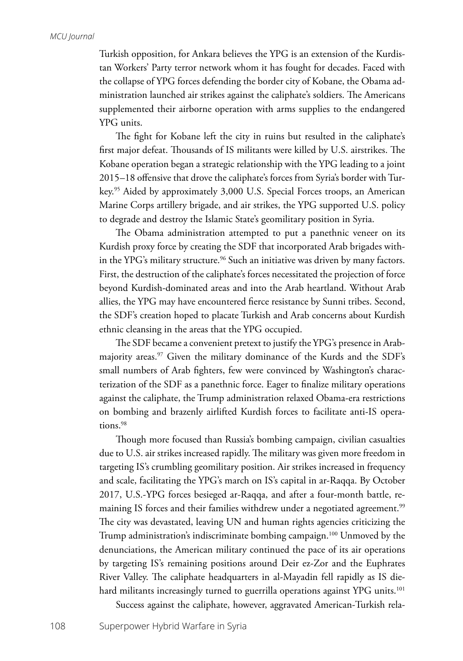Turkish opposition, for Ankara believes the YPG is an extension of the Kurdistan Workers' Party terror network whom it has fought for decades. Faced with the collapse of YPG forces defending the border city of Kobane, the Obama administration launched air strikes against the caliphate's soldiers. The Americans supplemented their airborne operation with arms supplies to the endangered YPG units.

The fight for Kobane left the city in ruins but resulted in the caliphate's first major defeat. Thousands of IS militants were killed by U.S. airstrikes. The Kobane operation began a strategic relationship with the YPG leading to a joint 2015–18 offensive that drove the caliphate's forces from Syria's border with Turkey.95 Aided by approximately 3,000 U.S. Special Forces troops, an American Marine Corps artillery brigade, and air strikes, the YPG supported U.S. policy to degrade and destroy the Islamic State's geomilitary position in Syria.

The Obama administration attempted to put a panethnic veneer on its Kurdish proxy force by creating the SDF that incorporated Arab brigades within the YPG's military structure.<sup>96</sup> Such an initiative was driven by many factors. First, the destruction of the caliphate's forces necessitated the projection of force beyond Kurdish-dominated areas and into the Arab heartland. Without Arab allies, the YPG may have encountered fierce resistance by Sunni tribes. Second, the SDF's creation hoped to placate Turkish and Arab concerns about Kurdish ethnic cleansing in the areas that the YPG occupied.

The SDF became a convenient pretext to justify the YPG's presence in Arabmajority areas.<sup>97</sup> Given the military dominance of the Kurds and the SDF's small numbers of Arab fighters, few were convinced by Washington's characterization of the SDF as a panethnic force. Eager to finalize military operations against the caliphate, the Trump administration relaxed Obama-era restrictions on bombing and brazenly airlifted Kurdish forces to facilitate anti-IS operations.98

Though more focused than Russia's bombing campaign, civilian casualties due to U.S. air strikes increased rapidly. The military was given more freedom in targeting IS's crumbling geomilitary position. Air strikes increased in frequency and scale, facilitating the YPG's march on IS's capital in ar-Raqqa. By October 2017, U.S.-YPG forces besieged ar-Raqqa, and after a four-month battle, remaining IS forces and their families withdrew under a negotiated agreement.<sup>99</sup> The city was devastated, leaving UN and human rights agencies criticizing the Trump administration's indiscriminate bombing campaign.<sup>100</sup> Unmoved by the denunciations, the American military continued the pace of its air operations by targeting IS's remaining positions around Deir ez-Zor and the Euphrates River Valley. The caliphate headquarters in al-Mayadin fell rapidly as IS diehard militants increasingly turned to guerrilla operations against YPG units.<sup>101</sup> Success against the caliphate, however, aggravated American-Turkish rela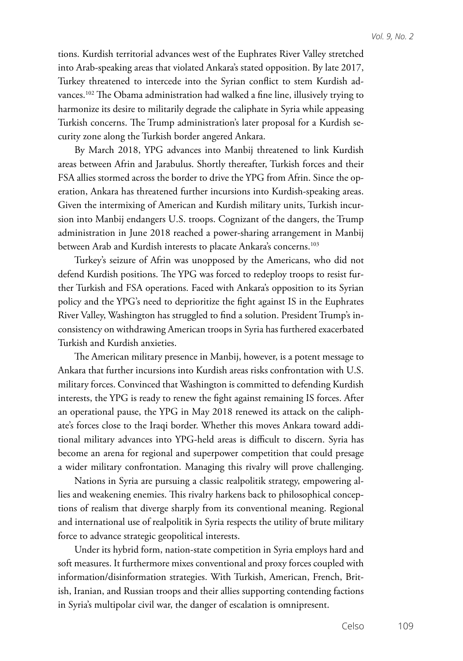tions. Kurdish territorial advances west of the Euphrates River Valley stretched into Arab-speaking areas that violated Ankara's stated opposition. By late 2017, Turkey threatened to intercede into the Syrian conflict to stem Kurdish advances.<sup>102</sup> The Obama administration had walked a fine line, illusively trying to harmonize its desire to militarily degrade the caliphate in Syria while appeasing Turkish concerns. The Trump administration's later proposal for a Kurdish security zone along the Turkish border angered Ankara.

By March 2018, YPG advances into Manbij threatened to link Kurdish areas between Afrin and Jarabulus. Shortly thereafter, Turkish forces and their FSA allies stormed across the border to drive the YPG from Afrin. Since the operation, Ankara has threatened further incursions into Kurdish-speaking areas. Given the intermixing of American and Kurdish military units, Turkish incursion into Manbij endangers U.S. troops. Cognizant of the dangers, the Trump administration in June 2018 reached a power-sharing arrangement in Manbij between Arab and Kurdish interests to placate Ankara's concerns.<sup>103</sup>

Turkey's seizure of Afrin was unopposed by the Americans, who did not defend Kurdish positions. The YPG was forced to redeploy troops to resist further Turkish and FSA operations. Faced with Ankara's opposition to its Syrian policy and the YPG's need to deprioritize the fight against IS in the Euphrates River Valley, Washington has struggled to find a solution. President Trump's inconsistency on withdrawing American troops in Syria has furthered exacerbated Turkish and Kurdish anxieties.

The American military presence in Manbij, however, is a potent message to Ankara that further incursions into Kurdish areas risks confrontation with U.S. military forces. Convinced that Washington is committed to defending Kurdish interests, the YPG is ready to renew the fight against remaining IS forces. After an operational pause, the YPG in May 2018 renewed its attack on the caliphate's forces close to the Iraqi border. Whether this moves Ankara toward additional military advances into YPG-held areas is difficult to discern. Syria has become an arena for regional and superpower competition that could presage a wider military confrontation. Managing this rivalry will prove challenging.

Nations in Syria are pursuing a classic realpolitik strategy, empowering allies and weakening enemies. This rivalry harkens back to philosophical conceptions of realism that diverge sharply from its conventional meaning. Regional and international use of realpolitik in Syria respects the utility of brute military force to advance strategic geopolitical interests.

Under its hybrid form, nation-state competition in Syria employs hard and soft measures. It furthermore mixes conventional and proxy forces coupled with information/disinformation strategies. With Turkish, American, French, British, Iranian, and Russian troops and their allies supporting contending factions in Syria's multipolar civil war, the danger of escalation is omnipresent.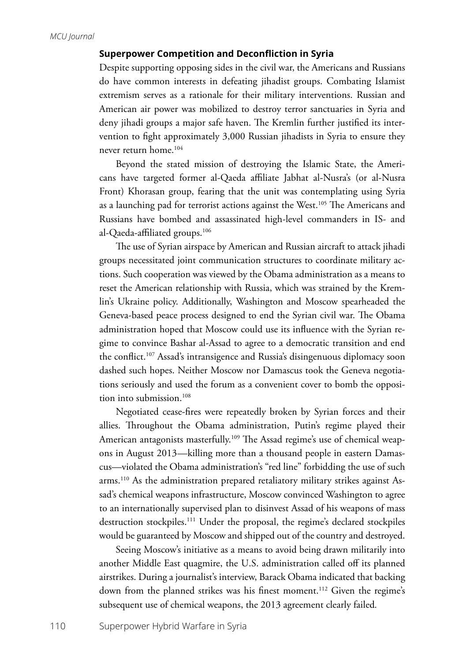### **Superpower Competition and Deconfliction in Syria**

Despite supporting opposing sides in the civil war, the Americans and Russians do have common interests in defeating jihadist groups. Combating Islamist extremism serves as a rationale for their military interventions. Russian and American air power was mobilized to destroy terror sanctuaries in Syria and deny jihadi groups a major safe haven. The Kremlin further justified its intervention to fight approximately 3,000 Russian jihadists in Syria to ensure they never return home.104

Beyond the stated mission of destroying the Islamic State, the Americans have targeted former al-Qaeda affiliate Jabhat al-Nusra's (or al-Nusra Front) Khorasan group, fearing that the unit was contemplating using Syria as a launching pad for terrorist actions against the West.<sup>105</sup> The Americans and Russians have bombed and assassinated high-level commanders in IS- and al-Qaeda-affiliated groups.106

The use of Syrian airspace by American and Russian aircraft to attack jihadi groups necessitated joint communication structures to coordinate military actions. Such cooperation was viewed by the Obama administration as a means to reset the American relationship with Russia, which was strained by the Kremlin's Ukraine policy. Additionally, Washington and Moscow spearheaded the Geneva-based peace process designed to end the Syrian civil war. The Obama administration hoped that Moscow could use its influence with the Syrian regime to convince Bashar al-Assad to agree to a democratic transition and end the conflict.107 Assad's intransigence and Russia's disingenuous diplomacy soon dashed such hopes. Neither Moscow nor Damascus took the Geneva negotiations seriously and used the forum as a convenient cover to bomb the opposition into submission.<sup>108</sup>

Negotiated cease-fires were repeatedly broken by Syrian forces and their allies. Throughout the Obama administration, Putin's regime played their American antagonists masterfully.<sup>109</sup> The Assad regime's use of chemical weapons in August 2013—killing more than a thousand people in eastern Damascus—violated the Obama administration's "red line" forbidding the use of such arms.110 As the administration prepared retaliatory military strikes against Assad's chemical weapons infrastructure, Moscow convinced Washington to agree to an internationally supervised plan to disinvest Assad of his weapons of mass destruction stockpiles.<sup>111</sup> Under the proposal, the regime's declared stockpiles would be guaranteed by Moscow and shipped out of the country and destroyed.

Seeing Moscow's initiative as a means to avoid being drawn militarily into another Middle East quagmire, the U.S. administration called off its planned airstrikes. During a journalist's interview, Barack Obama indicated that backing down from the planned strikes was his finest moment.<sup>112</sup> Given the regime's subsequent use of chemical weapons, the 2013 agreement clearly failed*.*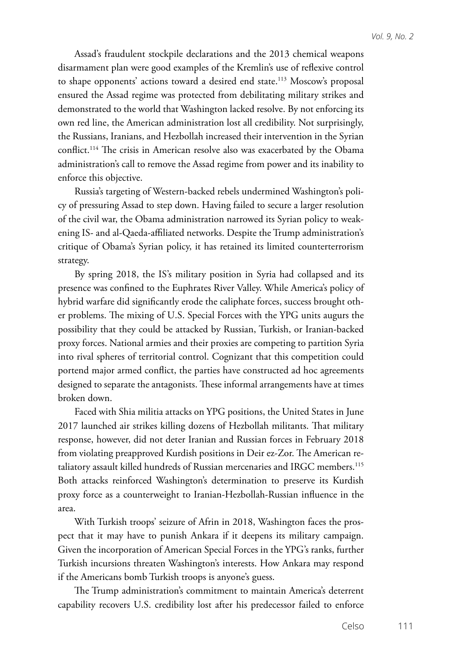Assad's fraudulent stockpile declarations and the 2013 chemical weapons disarmament plan were good examples of the Kremlin's use of reflexive control to shape opponents' actions toward a desired end state.<sup>113</sup> Moscow's proposal ensured the Assad regime was protected from debilitating military strikes and demonstrated to the world that Washington lacked resolve. By not enforcing its own red line, the American administration lost all credibility. Not surprisingly, the Russians, Iranians, and Hezbollah increased their intervention in the Syrian conflict.<sup>114</sup> The crisis in American resolve also was exacerbated by the Obama administration's call to remove the Assad regime from power and its inability to enforce this objective.

Russia's targeting of Western-backed rebels undermined Washington's policy of pressuring Assad to step down. Having failed to secure a larger resolution of the civil war, the Obama administration narrowed its Syrian policy to weakening IS- and al-Qaeda-affiliated networks. Despite the Trump administration's critique of Obama's Syrian policy, it has retained its limited counterterrorism strategy.

By spring 2018, the IS's military position in Syria had collapsed and its presence was confined to the Euphrates River Valley. While America's policy of hybrid warfare did significantly erode the caliphate forces, success brought other problems. The mixing of U.S. Special Forces with the YPG units augurs the possibility that they could be attacked by Russian, Turkish, or Iranian-backed proxy forces. National armies and their proxies are competing to partition Syria into rival spheres of territorial control. Cognizant that this competition could portend major armed conflict, the parties have constructed ad hoc agreements designed to separate the antagonists. These informal arrangements have at times broken down.

Faced with Shia militia attacks on YPG positions, the United States in June 2017 launched air strikes killing dozens of Hezbollah militants. That military response, however, did not deter Iranian and Russian forces in February 2018 from violating preapproved Kurdish positions in Deir ez-Zor. The American retaliatory assault killed hundreds of Russian mercenaries and IRGC members.<sup>115</sup> Both attacks reinforced Washington's determination to preserve its Kurdish proxy force as a counterweight to Iranian-Hezbollah-Russian influence in the area.

With Turkish troops' seizure of Afrin in 2018, Washington faces the prospect that it may have to punish Ankara if it deepens its military campaign. Given the incorporation of American Special Forces in the YPG's ranks, further Turkish incursions threaten Washington's interests. How Ankara may respond if the Americans bomb Turkish troops is anyone's guess.

The Trump administration's commitment to maintain America's deterrent capability recovers U.S. credibility lost after his predecessor failed to enforce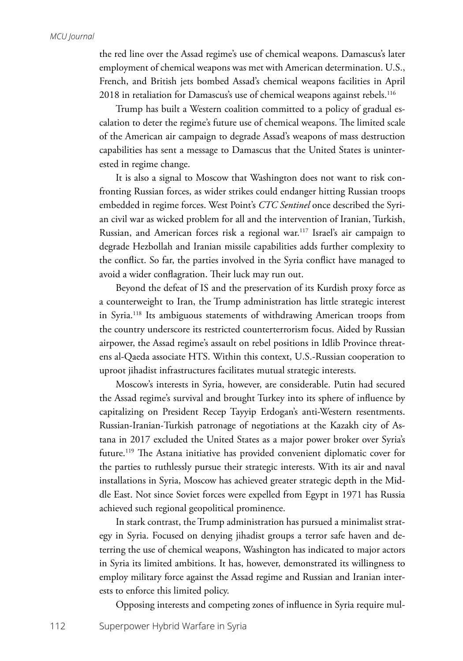the red line over the Assad regime's use of chemical weapons. Damascus's later employment of chemical weapons was met with American determination. U.S., French, and British jets bombed Assad's chemical weapons facilities in April 2018 in retaliation for Damascus's use of chemical weapons against rebels.<sup>116</sup>

Trump has built a Western coalition committed to a policy of gradual escalation to deter the regime's future use of chemical weapons. The limited scale of the American air campaign to degrade Assad's weapons of mass destruction capabilities has sent a message to Damascus that the United States is uninterested in regime change.

It is also a signal to Moscow that Washington does not want to risk confronting Russian forces, as wider strikes could endanger hitting Russian troops embedded in regime forces. West Point's *CTC Sentinel* once described the Syrian civil war as wicked problem for all and the intervention of Iranian, Turkish, Russian, and American forces risk a regional war.117 Israel's air campaign to degrade Hezbollah and Iranian missile capabilities adds further complexity to the conflict. So far, the parties involved in the Syria conflict have managed to avoid a wider conflagration. Their luck may run out.

Beyond the defeat of IS and the preservation of its Kurdish proxy force as a counterweight to Iran, the Trump administration has little strategic interest in Syria.118 Its ambiguous statements of withdrawing American troops from the country underscore its restricted counterterrorism focus. Aided by Russian airpower, the Assad regime's assault on rebel positions in Idlib Province threatens al-Qaeda associate HTS. Within this context, U.S.-Russian cooperation to uproot jihadist infrastructures facilitates mutual strategic interests.

Moscow's interests in Syria, however, are considerable. Putin had secured the Assad regime's survival and brought Turkey into its sphere of influence by capitalizing on President Recep Tayyip Erdogan's anti-Western resentments. Russian-Iranian-Turkish patronage of negotiations at the Kazakh city of Astana in 2017 excluded the United States as a major power broker over Syria's future.119 The Astana initiative has provided convenient diplomatic cover for the parties to ruthlessly pursue their strategic interests. With its air and naval installations in Syria, Moscow has achieved greater strategic depth in the Middle East. Not since Soviet forces were expelled from Egypt in 1971 has Russia achieved such regional geopolitical prominence.

In stark contrast, the Trump administration has pursued a minimalist strategy in Syria. Focused on denying jihadist groups a terror safe haven and deterring the use of chemical weapons, Washington has indicated to major actors in Syria its limited ambitions. It has, however, demonstrated its willingness to employ military force against the Assad regime and Russian and Iranian interests to enforce this limited policy.

Opposing interests and competing zones of influence in Syria require mul-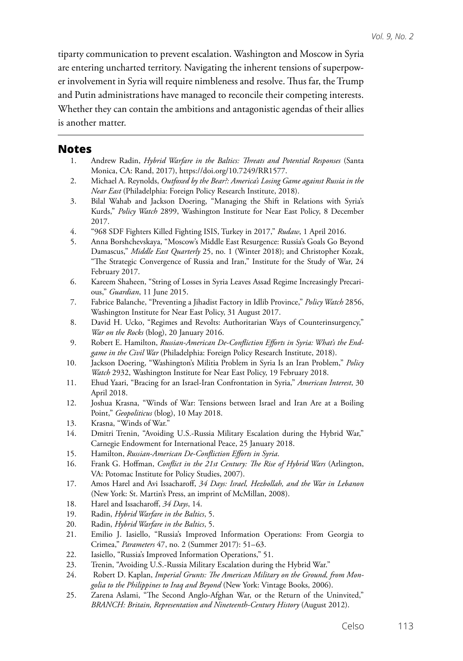tiparty communication to prevent escalation. Washington and Moscow in Syria are entering uncharted territory. Navigating the inherent tensions of superpower involvement in Syria will require nimbleness and resolve. Thus far, the Trump and Putin administrations have managed to reconcile their competing interests. Whether they can contain the ambitions and antagonistic agendas of their allies is another matter.

## **Notes**

- 1. Andrew Radin, *Hybrid Warfare in the Baltics: Threats and Potential Responses* (Santa Monica, CA: Rand, 2017), https://doi.org/10.7249/RR1577.
- 2. Michael A. Reynolds, *Outfoxed by the Bear?: America's Losing Game against Russia in the Near East* (Philadelphia: Foreign Policy Research Institute, 2018).
- 3. Bilal Wahab and Jackson Doering, "Managing the Shift in Relations with Syria's Kurds," *Policy Watch* 2899, Washington Institute for Near East Policy, 8 December 2017.
- 4. "968 SDF Fighters Killed Fighting ISIS, Turkey in 2017," *Rudaw*, 1 April 2016.
- 5. Anna Borshchevskaya, "Moscow's Middle East Resurgence: Russia's Goals Go Beyond Damascus," *Middle East Quarterly* 25, no. 1 (Winter 2018); and Christopher Kozak, "The Strategic Convergence of Russia and Iran," Institute for the Study of War, 24 February 2017.
- 6. Kareem Shaheen, "String of Losses in Syria Leaves Assad Regime Increasingly Precarious," *Guardian*, 11 June 2015.
- 7. Fabrice Balanche, "Preventing a Jihadist Factory in Idlib Province," *Policy Watch* 2856, Washington Institute for Near East Policy, 31 August 2017.
- 8. David H. Ucko, "Regimes and Revolts: Authoritarian Ways of Counterinsurgency," *War on the Rocks* (blog), 20 January 2016.
- 9. Robert E. Hamilton, *Russian-American De-Confliction Efforts in Syria: What's the Endgame in the Civil War* (Philadelphia: Foreign Policy Research Institute, 2018).
- 10. Jackson Doering, "Washington's Militia Problem in Syria Is an Iran Problem," *Policy Watch* 2932, Washington Institute for Near East Policy, 19 February 2018.
- 11. Ehud Yaari, "Bracing for an Israel-Iran Confrontation in Syria," *American Interest*, 30 April 2018.
- 12. Joshua Krasna, "Winds of War: Tensions between Israel and Iran Are at a Boiling Point," *Geopoliticus* (blog), 10 May 2018.
- 13. Krasna, "Winds of War."
- 14. Dmitri Trenin, "Avoiding U.S.-Russia Military Escalation during the Hybrid War," Carnegie Endowment for International Peace, 25 January 2018.
- 15. Hamilton, *Russian-American De-Confliction Efforts in Syria*.
- 16. Frank G. Hoffman, *Conflict in the 21st Century: The Rise of Hybrid Wars* (Arlington, VA: Potomac Institute for Policy Studies, 2007).
- 17. Amos Harel and Avi Issacharoff, *34 Days: Israel, Hezbollah, and the War in Lebanon* (New York: St. Martin's Press, an imprint of McMillan, 2008).
- 18. Harel and Issacharoff, *34 Days*, 14.
- 19. Radin, *Hybrid Warfare in the Baltics*, 5.
- 20. Radin, *Hybrid Warfare in the Baltics*, 5.
- 21. Emilio J. Iasiello, "Russia's Improved Information Operations: From Georgia to Crimea," *Parameters* 47, no. 2 (Summer 2017): 51–63.
- 22. Iasiello, "Russia's Improved Information Operations," 51.
- 23. Trenin, "Avoiding U.S.-Russia Military Escalation during the Hybrid War."
- 24. Robert D. Kaplan, *Imperial Grunts: The American Military on the Ground, from Mongolia to the Philippines to Iraq and Beyond* (New York: Vintage Books, 2006).
- 25. Zarena Aslami, "The Second Anglo-Afghan War, or the Return of the Uninvited," *BRANCH: Britain, Representation and Nineteenth-Century History* (August 2012).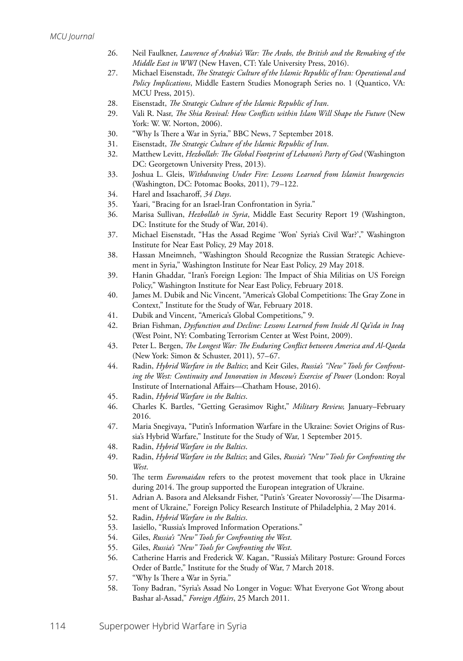- 26. Neil Faulkner, *Lawrence of Arabia's War: The Arabs, the British and the Remaking of the Middle East in WWI* (New Haven, CT: Yale University Press, 2016).
- 27. Michael Eisenstadt, *The Strategic Culture of the Islamic Republic of Iran: Operational and Policy Implications*, Middle Eastern Studies Monograph Series no. 1 (Quantico, VA: MCU Press, 2015).
- 28. Eisenstadt, *The Strategic Culture of the Islamic Republic of Iran*.
- 29. Vali R. Nasr, *The Shia Revival: How Conflicts within Islam Will Shape the Future* (New York: W. W. Norton, 2006).
- 30. "Why Is There a War in Syria," BBC News, 7 September 2018.
- 31. Eisenstadt, *The Strategic Culture of the Islamic Republic of Iran*.
- 32. Matthew Levitt, *Hezbollah: The Global Footprint of Lebanon's Party of God* (Washington DC: Georgetown University Press, 2013).
- 33. Joshua L. Gleis, *Withdrawing Under Fire: Lessons Learned from Islamist Insurgencies*  (Washington, DC: Potomac Books, 2011), 79–122.
- 34. Harel and Issacharoff, *34 Days*.
- 35. Yaari, "Bracing for an Israel-Iran Confrontation in Syria."
- 36. Marisa Sullivan, *Hezbollah in Syria*, Middle East Security Report 19 (Washington, DC: Institute for the Study of War, 2014).
- 37. Michael Eisenstadt, "Has the Assad Regime 'Won' Syria's Civil War?'," Washington Institute for Near East Policy, 29 May 2018.
- 38. Hassan Mneimneh, "Washington Should Recognize the Russian Strategic Achievement in Syria," Washington Institute for Near East Policy, 29 May 2018.
- 39. Hanin Ghaddar, "Iran's Foreign Legion: The Impact of Shia Militias on US Foreign Policy," Washington Institute for Near East Policy, February 2018.
- 40. James M. Dubik and Nic Vincent, "America's Global Competitions: The Gray Zone in Context," Institute for the Study of War, February 2018.
- 41. Dubik and Vincent, "America's Global Competitions," 9.
- 42. Brian Fishman, *Dysfunction and Decline: Lessons Learned from Inside Al Qa'ida in Iraq*  (West Point, NY: Combating Terrorism Center at West Point, 2009).
- 43. Peter L. Bergen, *The Longest War: The Enduring Conflict between America and Al-Qaeda*  (New York: Simon & Schuster, 2011), 57–67.
- 44. Radin, *Hybrid Warfare in the Baltics*; and Keir Giles, *Russia's "New" Tools for Confronting the West: Continuity and Innovation in Moscow's Exercise of Power* (London: Royal Institute of International Affairs—Chatham House, 2016).
- 45. Radin, *Hybrid Warfare in the Baltics*.
- 46. Charles K. Bartles, "Getting Gerasimov Right," *Military Review,* January–February 2016.
- 47. Maria Snegivaya, "Putin's Information Warfare in the Ukraine: Soviet Origins of Russia's Hybrid Warfare," Institute for the Study of War, 1 September 2015.
- 48. Radin, *Hybrid Warfare in the Baltics*.
- 49. Radin, *Hybrid Warfare in the Baltics*; and Giles, *Russia's "New" Tools for Confronting the West*.
- 50. The term *Euromaidan* refers to the protest movement that took place in Ukraine during 2014. The group supported the European integration of Ukraine.
- 51. Adrian A. Basora and Aleksandr Fisher, "Putin's 'Greater Novorossiy'—The Disarmament of Ukraine," Foreign Policy Research Institute of Philadelphia, 2 May 2014.
- 52. Radin, *Hybrid Warfare in the Baltics*.
- 53. Iasiello, "Russia's Improved Information Operations."
- 54. Giles, *Russia's "New" Tools for Confronting the West*.
- 55. Giles, *Russia's "New" Tools for Confronting the West*.
- 56. Catherine Harris and Frederick W. Kagan, "Russia's Military Posture: Ground Forces Order of Battle," Institute for the Study of War, 7 March 2018.
- 57. "Why Is There a War in Syria."
- 58. Tony Badran, "Syria's Assad No Longer in Vogue: What Everyone Got Wrong about Bashar al-Assad," *Foreign Affairs*, 25 March 2011.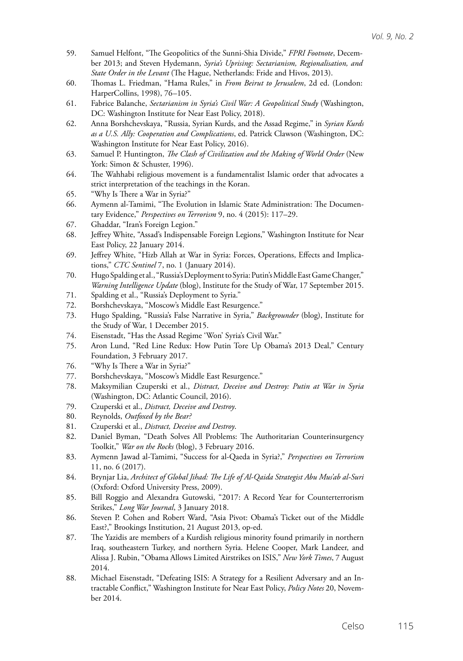- 59. Samuel Helfont, "The Geopolitics of the Sunni-Shia Divide," *FPRI Footnote*, December 2013; and Steven Hydemann, *Syria's Uprising: Sectarianism, Regionalisation, and State Order in the Levant* (The Hague, Netherlands: Fride and Hivos, 2013).
- 60. Thomas L. Friedman, "Hama Rules," in *From Beirut to Jerusalem*, 2d ed. (London: HarperCollins, 1998), 76–105.
- 61. Fabrice Balanche, *Sectarianism in Syria's Civil War: A Geopolitical Study* (Washington, DC: Washington Institute for Near East Policy, 2018).
- 62. Anna Borshchevskaya, "Russia, Syrian Kurds, and the Assad Regime," in *Syrian Kurds as a U.S. Ally: Cooperation and Complications*, ed. Patrick Clawson (Washington, DC: Washington Institute for Near East Policy, 2016).
- 63. Samuel P. Huntington, *The Clash of Civilization and the Making of World Order* (New York: Simon & Schuster, 1996).
- 64. The Wahhabi religious movement is a fundamentalist Islamic order that advocates a strict interpretation of the teachings in the Koran.
- 65. "Why Is There a War in Syria?"
- 66. Aymenn al-Tamimi, "The Evolution in Islamic State Administration: The Documentary Evidence," *Perspectives on Terrorism* 9, no. 4 (2015): 117–29.
- 67. Ghaddar, "Iran's Foreign Legion."
- 68. Jeffrey White, "Assad's Indispensable Foreign Legions," Washington Institute for Near East Policy, 22 January 2014.
- 69. Jeffrey White, "Hizb Allah at War in Syria: Forces, Operations, Effects and Implications," *CTC Sentinel* 7, no. 1 (January 2014).
- 70. Hugo Spalding et al., "Russia's Deployment to Syria: Putin's Middle East Game Changer," *Warning Intelligence Update* (blog), Institute for the Study of War, 17 September 2015.
- 71. Spalding et al., "Russia's Deployment to Syria."
- 72. Borshchevskaya, "Moscow's Middle East Resurgence."
- 73. Hugo Spalding, "Russia's False Narrative in Syria," *Backgrounder* (blog), Institute for the Study of War, 1 December 2015.
- 74. Eisenstadt, "Has the Assad Regime 'Won' Syria's Civil War."
- 75. Aron Lund, "Red Line Redux: How Putin Tore Up Obama's 2013 Deal," Century Foundation, 3 February 2017.
- 76. "Why Is There a War in Syria?"
- 77. Borshchevskaya, "Moscow's Middle East Resurgence."
- 78. Maksymilian Czuperski et al., *Distract, Deceive and Destroy: Putin at War in Syria* (Washington, DC: Atlantic Council, 2016).
- 79. Czuperski et al., *Distract, Deceive and Destroy*.
- 80. Reynolds, *Outfoxed by the Bear?*
- 81. Czuperski et al., *Distract, Deceive and Destroy*.
- 82. Daniel Byman, "Death Solves All Problems: The Authoritarian Counterinsurgency Toolkit," *War on the Rocks* (blog), 3 February 2016.
- 83. Aymenn Jawad al-Tamimi, "Success for al-Qaeda in Syria?," *Perspectives on Terrorism* 11, no. 6 (2017).
- 84. Brynjar Lia, *Architect of Global Jihad: The Life of Al-Qaida Strategist Abu Mus'ab al-Suri*  (Oxford: Oxford University Press, 2009).
- 85. Bill Roggio and Alexandra Gutowski, "2017: A Record Year for Counterterrorism Strikes," *Long War Journal*, 3 January 2018.
- 86. Steven P. Cohen and Robert Ward, "Asia Pivot: Obama's Ticket out of the Middle East?," Brookings Institution, 21 August 2013, op-ed.
- 87. The Yazidis are members of a Kurdish religious minority found primarily in northern Iraq, southeastern Turkey, and northern Syria. Helene Cooper, Mark Landeer, and Alissa J. Rubin, "Obama Allows Limited Airstrikes on ISIS," *New York Times*, 7 August 2014.
- 88. Michael Eisenstadt, "Defeating ISIS: A Strategy for a Resilient Adversary and an Intractable Conflict," Washington Institute for Near East Policy, *Policy Notes* 20, November 2014.